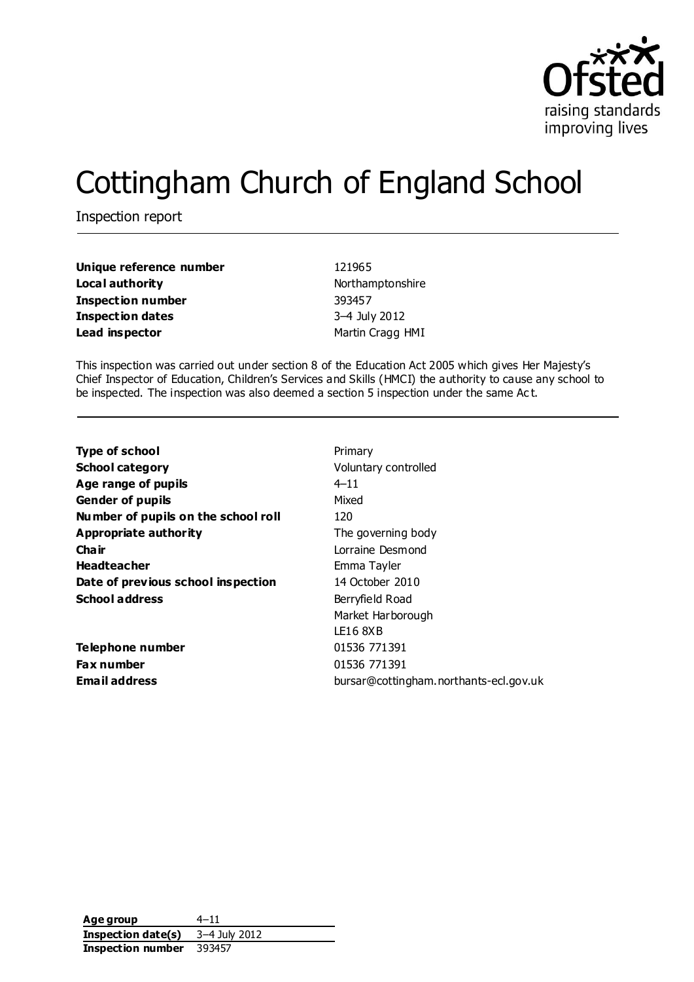

# Cottingham Church of England School

Inspection report

| Unique reference number | 121965           |
|-------------------------|------------------|
| Local authority         | Northamptonshire |
| Inspection number       | 393457           |
| Inspection dates        | 3-4 July 2012    |
| Lead inspector          | Martin Cragg HMI |

This inspection was carried out under section 8 of the Education Act 2005 which gives Her Majesty's Chief Inspector of Education, Children's Services and Skills (HMCI) the authority to cause any school to be inspected. The inspection was also deemed a section 5 inspection under the same Ac t.

| <b>Type of school</b>               | Primary                                |
|-------------------------------------|----------------------------------------|
| <b>School category</b>              | Voluntary controlled                   |
| Age range of pupils                 | $4 - 11$                               |
| <b>Gender of pupils</b>             | Mixed                                  |
| Number of pupils on the school roll | 120                                    |
| Appropriate authority               | The governing body                     |
| Cha ir                              | Lorraine Desmond                       |
| <b>Headteacher</b>                  | Emma Tayler                            |
| Date of previous school inspection  | 14 October 2010                        |
| <b>School address</b>               | Berryfield Road                        |
|                                     | Market Harborough                      |
|                                     | LE16 8XB                               |
| Telephone number                    | 01536 771391                           |
| <b>Fax number</b>                   | 01536 771391                           |
| <b>Email address</b>                | bursar@cottingham.northants-ecl.gov.uk |
|                                     |                                        |

| Age group          | $4 - 11$      |
|--------------------|---------------|
| Inspection date(s) | 3–4 July 2012 |
| Inspection number  | 393457        |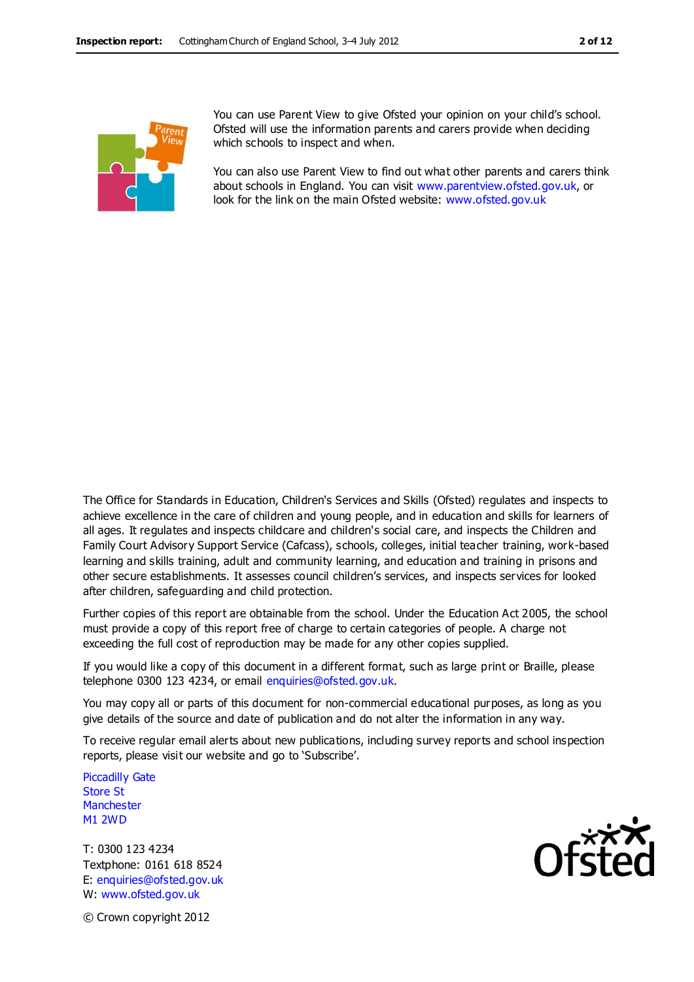

You can use Parent View to give Ofsted your opinion on your child's school. Ofsted will use the information parents and carers provide when deciding which schools to inspect and when.

You can also use Parent View to find out what other parents and carers think about schools in England. You can visit [www.parentview.ofsted.gov.uk,](http://www.parentview.ofsted.gov.uk/) or look for the link on the main Ofsted website: [www.ofsted.gov.uk](http://www.ofsted.gov.uk/)

The Office for Standards in Education, Children's Services and Skills (Ofsted) regulates and inspects to achieve excellence in the care of children and young people, and in education and skills for learners of all ages. It regulates and inspects childcare and children's social care, and inspects the Children and Family Court Advisory Support Service (Cafcass), schools, colleges, initial teacher training, work-based learning and skills training, adult and community learning, and education and training in prisons and other secure establishments. It assesses council children's services, and inspects services for looked after children, safeguarding and child protection.

Further copies of this report are obtainable from the school. Under the Education Act 2005, the school must provide a copy of this report free of charge to certain categories of people. A charge not exceeding the full cost of reproduction may be made for any other copies supplied.

If you would like a copy of this document in a different format, such as large print or Braille, please telephone 0300 123 4234, or email enquiries@ofsted.gov.uk.

You may copy all or parts of this document for non-commercial educational purposes, as long as you give details of the source and date of publication and do not alter the information in any way.

To receive regular email alerts about new publications, including survey reports and school inspection reports, please visit our website and go to 'Subscribe'.

Piccadilly Gate Store St **Manchester** M1 2WD

T: 0300 123 4234 Textphone: 0161 618 8524 E: enquiries@ofsted.gov.uk W: www.ofsted.gov.uk



© Crown copyright 2012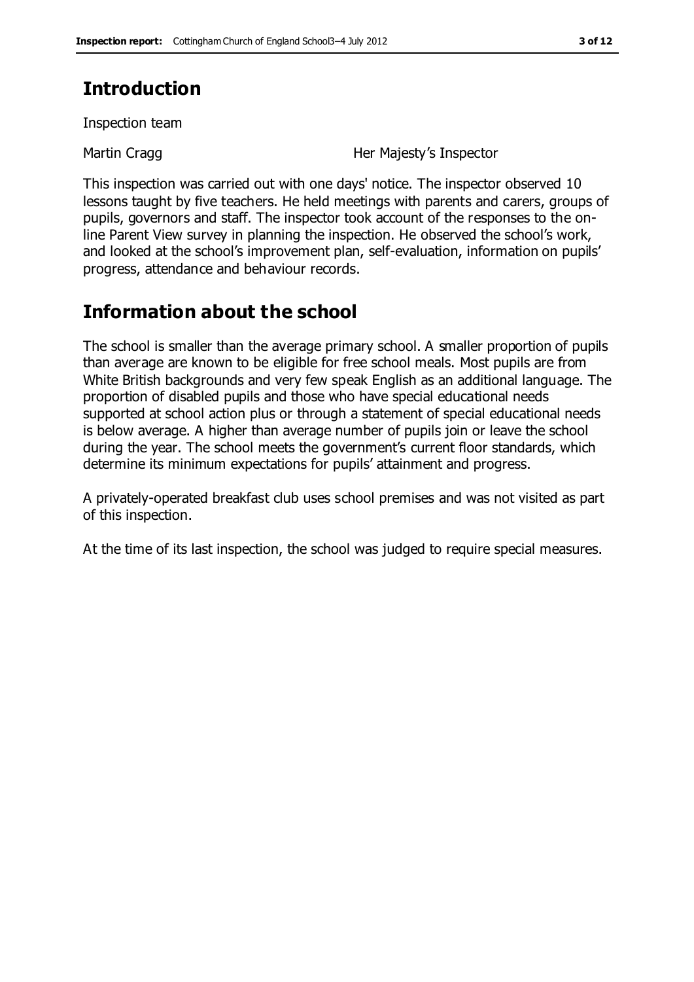# **Introduction**

Inspection team

Martin Cragg **Her Majesty's Inspector** 

This inspection was carried out with one days' notice. The inspector observed 10 lessons taught by five teachers. He held meetings with parents and carers, groups of pupils, governors and staff. The inspector took account of the responses to the online Parent View survey in planning the inspection. He observed the school's work, and looked at the school's improvement plan, self-evaluation, information on pupils' progress, attendance and behaviour records.

# **Information about the school**

The school is smaller than the average primary school. A smaller proportion of pupils than average are known to be eligible for free school meals. Most pupils are from White British backgrounds and very few speak English as an additional language. The proportion of disabled pupils and those who have special educational needs supported at school action plus or through a statement of special educational needs is below average. A higher than average number of pupils join or leave the school during the year. The school meets the government's current floor standards, which determine its minimum expectations for pupils' attainment and progress.

A privately-operated breakfast club uses school premises and was not visited as part of this inspection.

At the time of its last inspection, the school was judged to require special measures.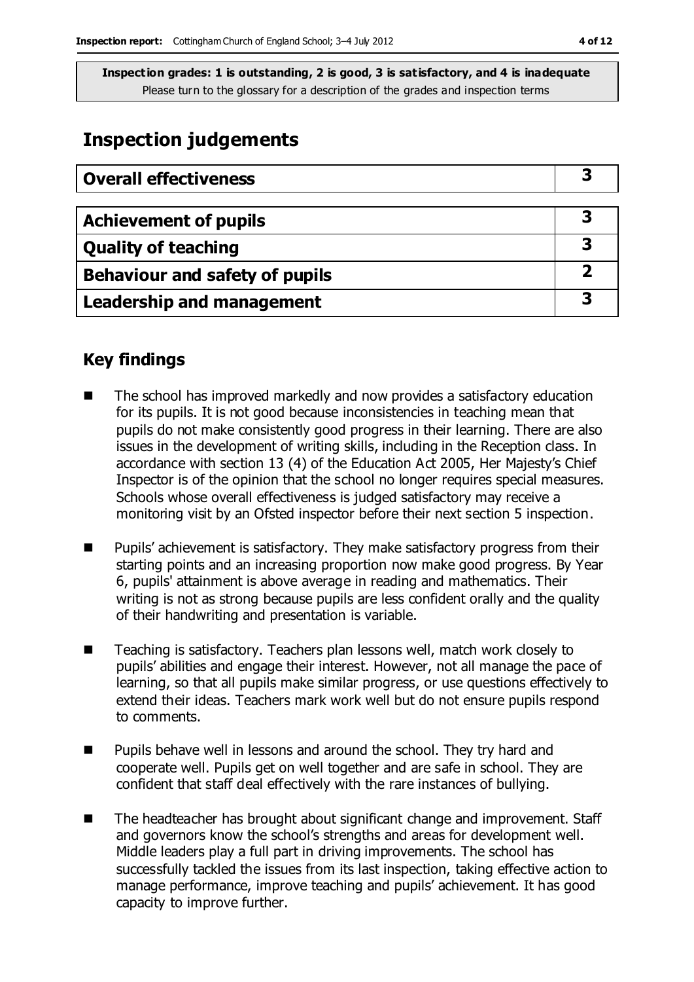# **Inspection judgements**

| <b>Overall effectiveness</b>     |   |
|----------------------------------|---|
|                                  |   |
| <b>Achievement of pupils</b>     |   |
| <b>Quality of teaching</b>       |   |
| Behaviour and safety of pupils   |   |
| <b>Leadership and management</b> | З |

## **Key findings**

- The school has improved markedly and now provides a satisfactory education for its pupils. It is not good because inconsistencies in teaching mean that pupils do not make consistently good progress in their learning. There are also issues in the development of writing skills, including in the Reception class. In accordance with section 13 (4) of the Education Act 2005, Her Majesty's Chief Inspector is of the opinion that the school no longer requires special measures. Schools whose overall effectiveness is judged satisfactory may receive a monitoring visit by an Ofsted inspector before their next section 5 inspection.
- Pupils' achievement is satisfactory. They make satisfactory progress from their starting points and an increasing proportion now make good progress. By Year 6, pupils' attainment is above average in reading and mathematics. Their writing is not as strong because pupils are less confident orally and the quality of their handwriting and presentation is variable.
- Teaching is satisfactory. Teachers plan lessons well, match work closely to pupils' abilities and engage their interest. However, not all manage the pace of learning, so that all pupils make similar progress, or use questions effectively to extend their ideas. Teachers mark work well but do not ensure pupils respond to comments.
- Pupils behave well in lessons and around the school. They try hard and cooperate well. Pupils get on well together and are safe in school. They are confident that staff deal effectively with the rare instances of bullying.
- The headteacher has brought about significant change and improvement. Staff and governors know the school's strengths and areas for development well. Middle leaders play a full part in driving improvements. The school has successfully tackled the issues from its last inspection, taking effective action to manage performance, improve teaching and pupils' achievement. It has good capacity to improve further.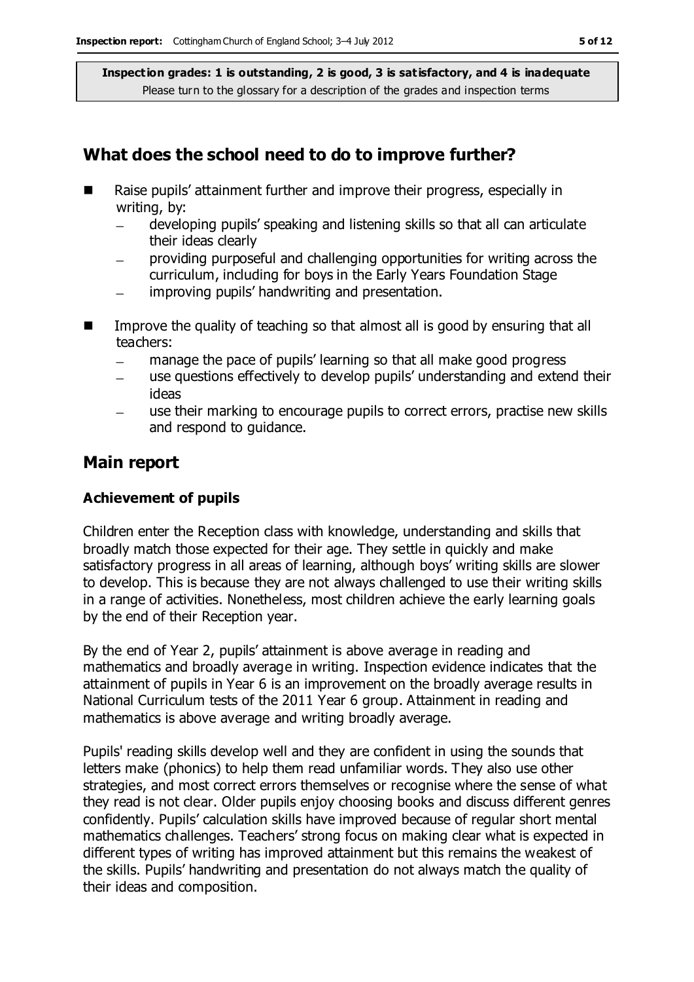### **What does the school need to do to improve further?**

- Raise pupils' attainment further and improve their progress, especially in writing, by:
	- developing pupils' speaking and listening skills so that all can articulate  $\frac{1}{2}$ their ideas clearly
	- providing purposeful and challenging opportunities for writing across the curriculum, including for boys in the Early Years Foundation Stage
	- improving pupils' handwriting and presentation.  $\equiv$
- $\blacksquare$  Improve the quality of teaching so that almost all is good by ensuring that all teachers:
	- manage the pace of pupils' learning so that all make good progress  $\equiv$
	- use questions effectively to develop pupils' understanding and extend their ideas
	- use their marking to encourage pupils to correct errors, practise new skills and respond to guidance.

#### **Main report**

#### **Achievement of pupils**

Children enter the Reception class with knowledge, understanding and skills that broadly match those expected for their age. They settle in quickly and make satisfactory progress in all areas of learning, although boys' writing skills are slower to develop. This is because they are not always challenged to use their writing skills in a range of activities. Nonetheless, most children achieve the early learning goals by the end of their Reception year.

By the end of Year 2, pupils' attainment is above average in reading and mathematics and broadly average in writing. Inspection evidence indicates that the attainment of pupils in Year 6 is an improvement on the broadly average results in National Curriculum tests of the 2011 Year 6 group. Attainment in reading and mathematics is above average and writing broadly average.

Pupils' reading skills develop well and they are confident in using the sounds that letters make (phonics) to help them read unfamiliar words. They also use other strategies, and most correct errors themselves or recognise where the sense of what they read is not clear. Older pupils enjoy choosing books and discuss different genres confidently. Pupils' calculation skills have improved because of regular short mental mathematics challenges. Teachers' strong focus on making clear what is expected in different types of writing has improved attainment but this remains the weakest of the skills. Pupils' handwriting and presentation do not always match the quality of their ideas and composition.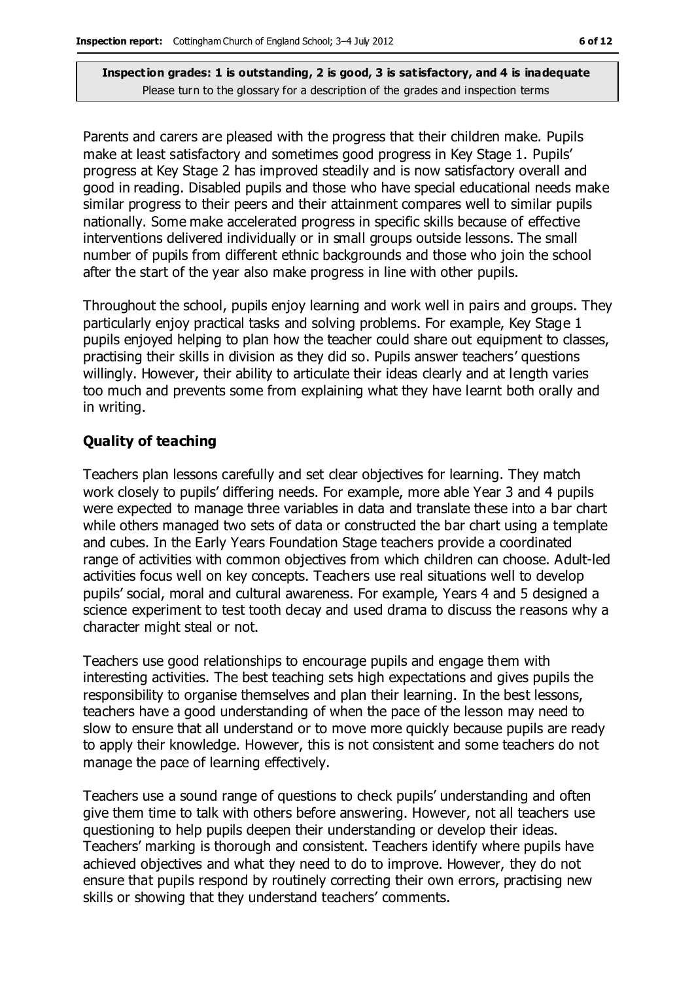Parents and carers are pleased with the progress that their children make. Pupils make at least satisfactory and sometimes good progress in Key Stage 1. Pupils' progress at Key Stage 2 has improved steadily and is now satisfactory overall and good in reading. Disabled pupils and those who have special educational needs make similar progress to their peers and their attainment compares well to similar pupils nationally. Some make accelerated progress in specific skills because of effective interventions delivered individually or in small groups outside lessons. The small number of pupils from different ethnic backgrounds and those who join the school after the start of the year also make progress in line with other pupils.

Throughout the school, pupils enjoy learning and work well in pairs and groups. They particularly enjoy practical tasks and solving problems. For example, Key Stage 1 pupils enjoyed helping to plan how the teacher could share out equipment to classes, practising their skills in division as they did so. Pupils answer teachers' questions willingly. However, their ability to articulate their ideas clearly and at length varies too much and prevents some from explaining what they have learnt both orally and in writing.

#### **Quality of teaching**

Teachers plan lessons carefully and set clear objectives for learning. They match work closely to pupils' differing needs. For example, more able Year 3 and 4 pupils were expected to manage three variables in data and translate these into a bar chart while others managed two sets of data or constructed the bar chart using a template and cubes. In the Early Years Foundation Stage teachers provide a coordinated range of activities with common objectives from which children can choose. Adult-led activities focus well on key concepts. Teachers use real situations well to develop pupils' social, moral and cultural awareness. For example, Years 4 and 5 designed a science experiment to test tooth decay and used drama to discuss the reasons why a character might steal or not.

Teachers use good relationships to encourage pupils and engage them with interesting activities. The best teaching sets high expectations and gives pupils the responsibility to organise themselves and plan their learning. In the best lessons, teachers have a good understanding of when the pace of the lesson may need to slow to ensure that all understand or to move more quickly because pupils are ready to apply their knowledge. However, this is not consistent and some teachers do not manage the pace of learning effectively.

Teachers use a sound range of questions to check pupils' understanding and often give them time to talk with others before answering. However, not all teachers use questioning to help pupils deepen their understanding or develop their ideas. Teachers' marking is thorough and consistent. Teachers identify where pupils have achieved objectives and what they need to do to improve. However, they do not ensure that pupils respond by routinely correcting their own errors, practising new skills or showing that they understand teachers' comments.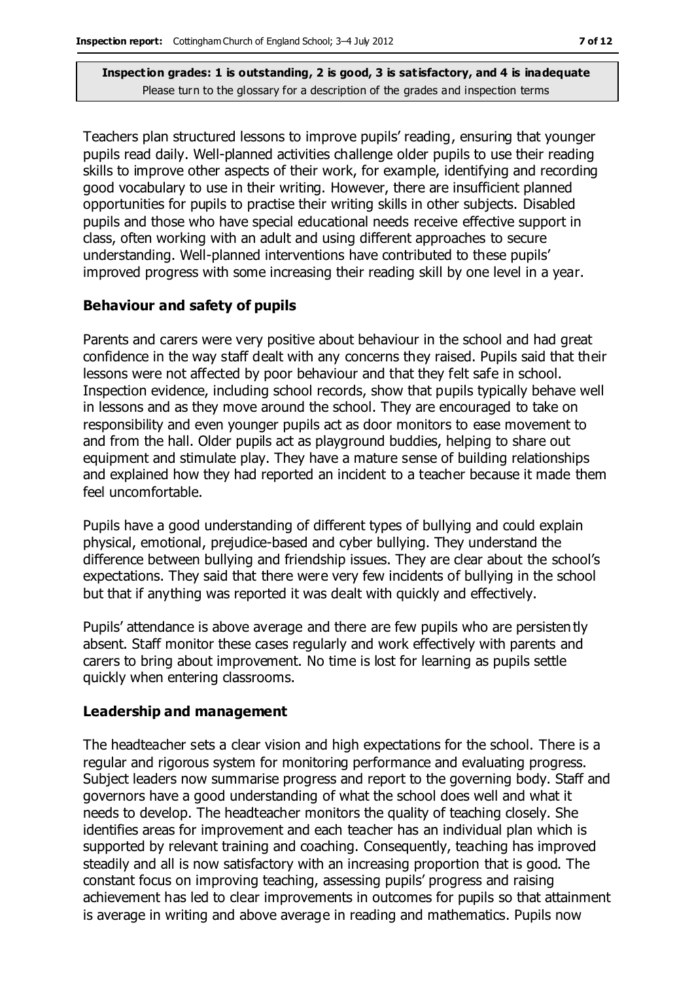Teachers plan structured lessons to improve pupils' reading, ensuring that younger pupils read daily. Well-planned activities challenge older pupils to use their reading skills to improve other aspects of their work, for example, identifying and recording good vocabulary to use in their writing. However, there are insufficient planned opportunities for pupils to practise their writing skills in other subjects. Disabled pupils and those who have special educational needs receive effective support in class, often working with an adult and using different approaches to secure understanding. Well-planned interventions have contributed to these pupils' improved progress with some increasing their reading skill by one level in a year.

#### **Behaviour and safety of pupils**

Parents and carers were very positive about behaviour in the school and had great confidence in the way staff dealt with any concerns they raised. Pupils said that their lessons were not affected by poor behaviour and that they felt safe in school. Inspection evidence, including school records, show that pupils typically behave well in lessons and as they move around the school. They are encouraged to take on responsibility and even younger pupils act as door monitors to ease movement to and from the hall. Older pupils act as playground buddies, helping to share out equipment and stimulate play. They have a mature sense of building relationships and explained how they had reported an incident to a teacher because it made them feel uncomfortable.

Pupils have a good understanding of different types of bullying and could explain physical, emotional, prejudice-based and cyber bullying. They understand the difference between bullying and friendship issues. They are clear about the school's expectations. They said that there were very few incidents of bullying in the school but that if anything was reported it was dealt with quickly and effectively.

Pupils' attendance is above average and there are few pupils who are persisten tly absent. Staff monitor these cases regularly and work effectively with parents and carers to bring about improvement. No time is lost for learning as pupils settle quickly when entering classrooms.

#### **Leadership and management**

The headteacher sets a clear vision and high expectations for the school. There is a regular and rigorous system for monitoring performance and evaluating progress. Subject leaders now summarise progress and report to the governing body. Staff and governors have a good understanding of what the school does well and what it needs to develop. The headteacher monitors the quality of teaching closely. She identifies areas for improvement and each teacher has an individual plan which is supported by relevant training and coaching. Consequently, teaching has improved steadily and all is now satisfactory with an increasing proportion that is good. The constant focus on improving teaching, assessing pupils' progress and raising achievement has led to clear improvements in outcomes for pupils so that attainment is average in writing and above average in reading and mathematics. Pupils now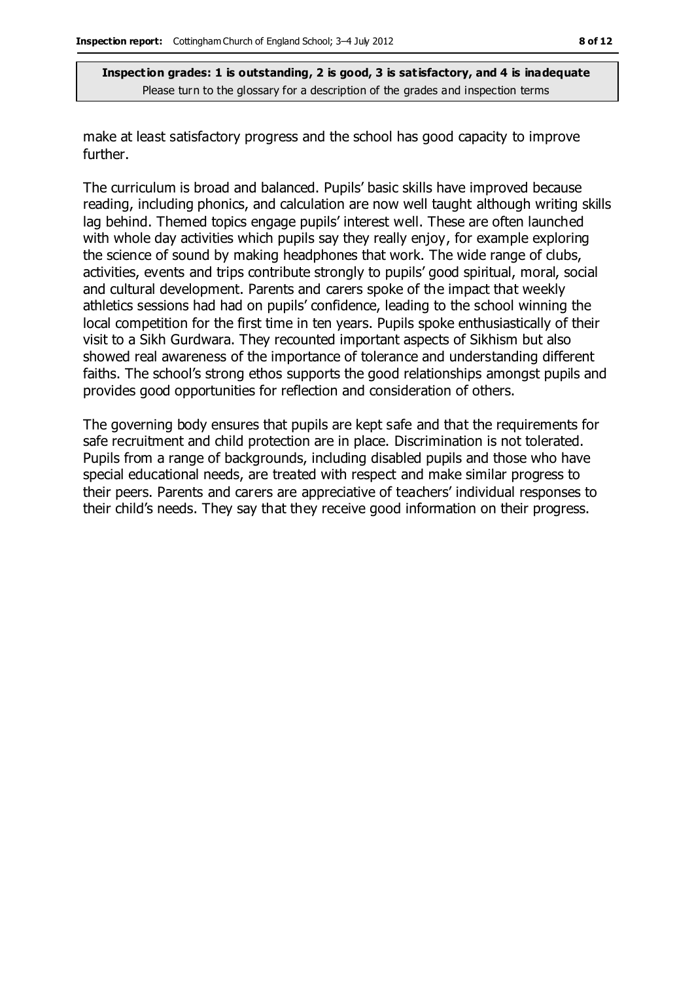make at least satisfactory progress and the school has good capacity to improve further.

The curriculum is broad and balanced. Pupils' basic skills have improved because reading, including phonics, and calculation are now well taught although writing skills lag behind. Themed topics engage pupils' interest well. These are often launched with whole day activities which pupils say they really enjoy, for example exploring the science of sound by making headphones that work. The wide range of clubs, activities, events and trips contribute strongly to pupils' good spiritual, moral, social and cultural development. Parents and carers spoke of the impact that weekly athletics sessions had had on pupils' confidence, leading to the school winning the local competition for the first time in ten years. Pupils spoke enthusiastically of their visit to a Sikh Gurdwara. They recounted important aspects of Sikhism but also showed real awareness of the importance of tolerance and understanding different faiths. The school's strong ethos supports the good relationships amongst pupils and provides good opportunities for reflection and consideration of others.

The governing body ensures that pupils are kept safe and that the requirements for safe recruitment and child protection are in place. Discrimination is not tolerated. Pupils from a range of backgrounds, including disabled pupils and those who have special educational needs, are treated with respect and make similar progress to their peers. Parents and carers are appreciative of teachers' individual responses to their child's needs. They say that they receive good information on their progress.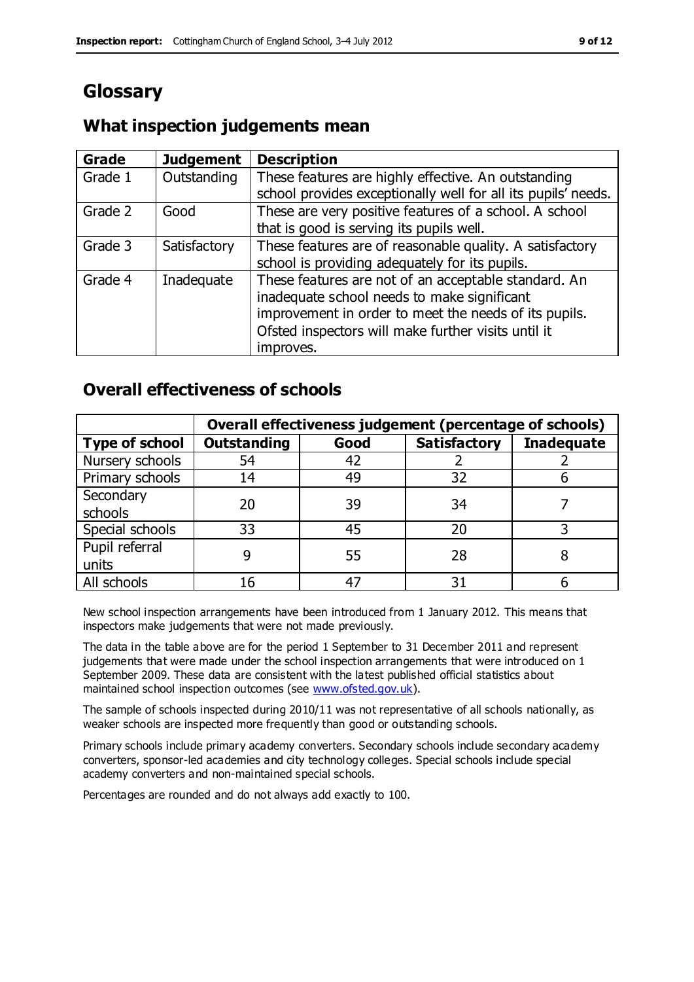# **Glossary**

#### **Grade Judgement Description** Grade  $1$  | Outstanding | These features are highly effective. An outstanding school provides exceptionally well for all its pupils' needs. Grade 2 Good These are very positive features of a school. A school that is good is serving its pupils well. Grade 3  $\parallel$  Satisfactory  $\parallel$  These features are of reasonable quality. A satisfactory school is providing adequately for its pupils. Grade 4  $\parallel$  Inadequate  $\parallel$  These features are not of an acceptable standard. An inadequate school needs to make significant improvement in order to meet the needs of its pupils. Ofsted inspectors will make further visits until it improves.

## **What inspection judgements mean**

## **Overall effectiveness of schools**

|                       | Overall effectiveness judgement (percentage of schools) |      |                     |                   |
|-----------------------|---------------------------------------------------------|------|---------------------|-------------------|
| <b>Type of school</b> | <b>Outstanding</b>                                      | Good | <b>Satisfactory</b> | <b>Inadequate</b> |
| Nursery schools       | 54                                                      | 42   |                     |                   |
| Primary schools       | 14                                                      | 49   | 32                  |                   |
| Secondary             | 20                                                      | 39   | 34                  |                   |
| schools               |                                                         |      |                     |                   |
| Special schools       | 33                                                      | 45   | 20                  |                   |
| Pupil referral        |                                                         | 55   | 28                  |                   |
| units                 |                                                         |      |                     |                   |
| All schools           | 16                                                      |      | 3٠                  |                   |

New school inspection arrangements have been introduced from 1 January 2012. This means that inspectors make judgements that were not made previously.

The data in the table above are for the period 1 September to 31 December 2011 and represent judgements that were made under the school inspection arrangements that were introduced on 1 September 2009. These data are consistent with the latest published official statistics about maintained school inspection outcomes (see [www.ofsted.gov.uk\)](http://www.ofsted.gov.uk/).

The sample of schools inspected during 2010/11 was not representative of all schools nationally, as weaker schools are inspected more frequently than good or outstanding schools.

Primary schools include primary academy converters. Secondary schools include secondary academy converters, sponsor-led academies and city technology colleges. Special schools include special academy converters and non-maintained special schools.

Percentages are rounded and do not always add exactly to 100.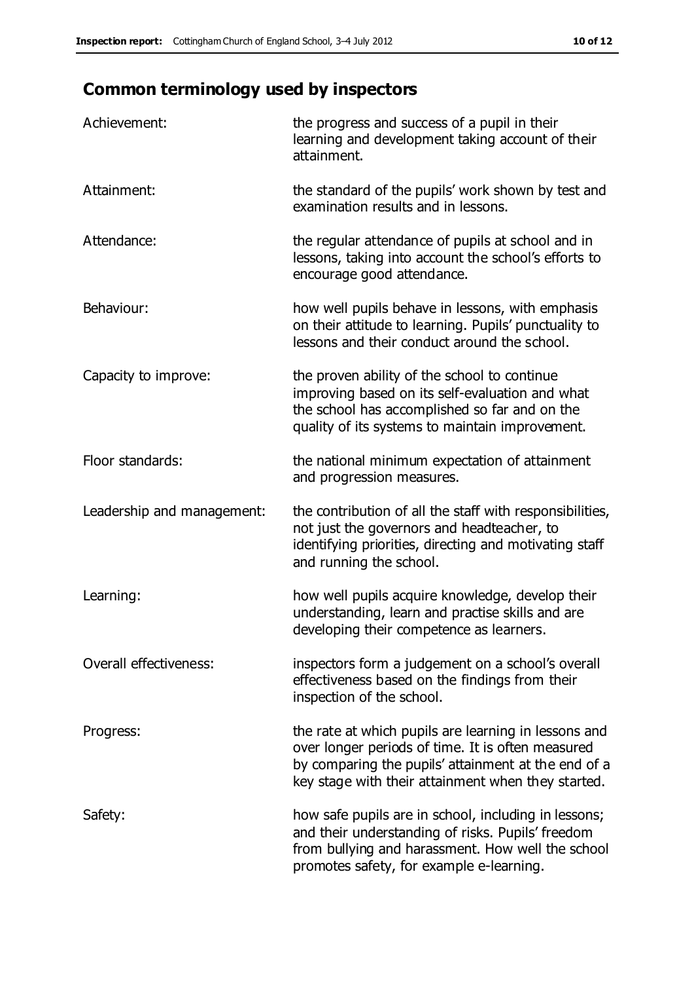# **Common terminology used by inspectors**

| Achievement:               | the progress and success of a pupil in their<br>learning and development taking account of their<br>attainment.                                                                                                        |
|----------------------------|------------------------------------------------------------------------------------------------------------------------------------------------------------------------------------------------------------------------|
| Attainment:                | the standard of the pupils' work shown by test and<br>examination results and in lessons.                                                                                                                              |
| Attendance:                | the regular attendance of pupils at school and in<br>lessons, taking into account the school's efforts to<br>encourage good attendance.                                                                                |
| Behaviour:                 | how well pupils behave in lessons, with emphasis<br>on their attitude to learning. Pupils' punctuality to<br>lessons and their conduct around the school.                                                              |
| Capacity to improve:       | the proven ability of the school to continue<br>improving based on its self-evaluation and what<br>the school has accomplished so far and on the<br>quality of its systems to maintain improvement.                    |
| Floor standards:           | the national minimum expectation of attainment<br>and progression measures.                                                                                                                                            |
| Leadership and management: | the contribution of all the staff with responsibilities,<br>not just the governors and headteacher, to<br>identifying priorities, directing and motivating staff<br>and running the school.                            |
| Learning:                  | how well pupils acquire knowledge, develop their<br>understanding, learn and practise skills and are<br>developing their competence as learners.                                                                       |
| Overall effectiveness:     | inspectors form a judgement on a school's overall<br>effectiveness based on the findings from their<br>inspection of the school.                                                                                       |
| Progress:                  | the rate at which pupils are learning in lessons and<br>over longer periods of time. It is often measured<br>by comparing the pupils' attainment at the end of a<br>key stage with their attainment when they started. |
| Safety:                    | how safe pupils are in school, including in lessons;<br>and their understanding of risks. Pupils' freedom<br>from bullying and harassment. How well the school<br>promotes safety, for example e-learning.             |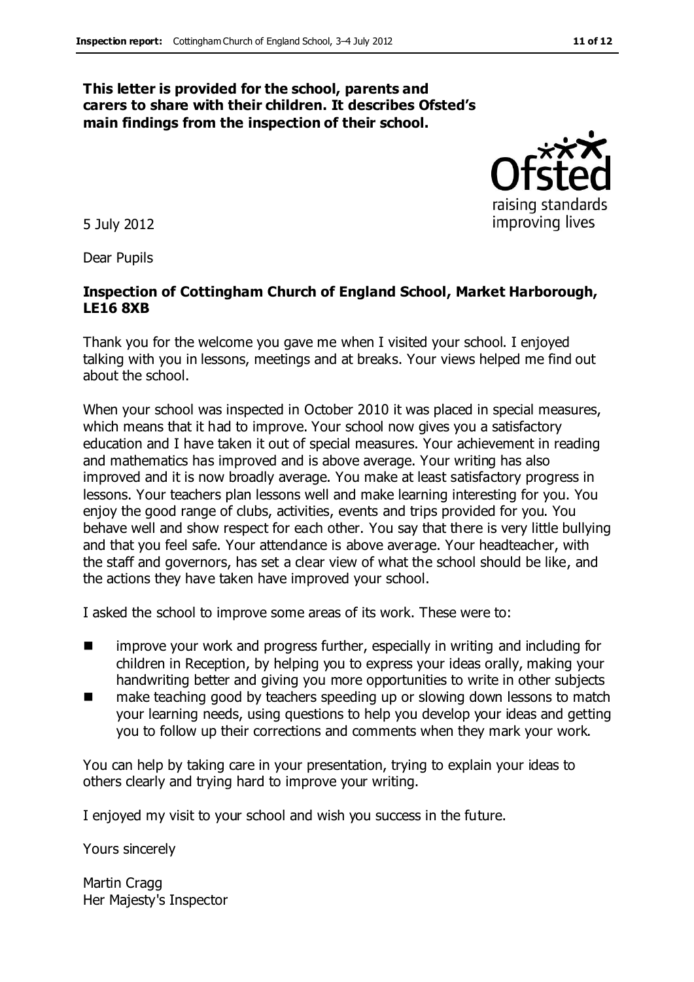#### **This letter is provided for the school, parents and carers to share with their children. It describes Ofsted's main findings from the inspection of their school.**

5 July 2012

Dear Pupils

#### **Inspection of Cottingham Church of England School, Market Harborough, LE16 8XB**

Thank you for the welcome you gave me when I visited your school. I enjoyed talking with you in lessons, meetings and at breaks. Your views helped me find out about the school.

When your school was inspected in October 2010 it was placed in special measures, which means that it had to improve. Your school now gives you a satisfactory education and I have taken it out of special measures. Your achievement in reading and mathematics has improved and is above average. Your writing has also improved and it is now broadly average. You make at least satisfactory progress in lessons. Your teachers plan lessons well and make learning interesting for you. You enjoy the good range of clubs, activities, events and trips provided for you. You behave well and show respect for each other. You say that there is very little bullying and that you feel safe. Your attendance is above average. Your headteacher, with the staff and governors, has set a clear view of what the school should be like, and the actions they have taken have improved your school.

I asked the school to improve some areas of its work. These were to:

- improve your work and progress further, especially in writing and including for children in Reception, by helping you to express your ideas orally, making your handwriting better and giving you more opportunities to write in other subjects
- make teaching good by teachers speeding up or slowing down lessons to match your learning needs, using questions to help you develop your ideas and getting you to follow up their corrections and comments when they mark your work.

You can help by taking care in your presentation, trying to explain your ideas to others clearly and trying hard to improve your writing.

I enjoyed my visit to your school and wish you success in the future.

Yours sincerely

Martin Cragg Her Majesty's Inspector